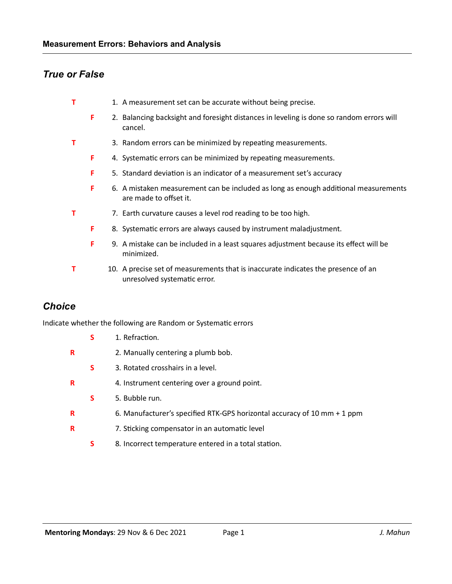# *True or False*

- **T** 1. A measurement set can be accurate without being precise.
	- **F** 2. Balancing backsight and foresight distances in leveling is done so random errors will cancel.
- **T** 3. Random errors can be minimized by repeating measurements.
	- **F** 4. Systematic errors can be minimized by repeating measurements.
	- **F** 5. Standard deviation is an indicator of a measurement set's accuracy
	- **F** 6. A mistaken measurement can be included as long as enough additional measurements are made to offset it.
- **T** 7. Earth curvature causes a level rod reading to be too high.
	- **F** 8. Systematic errors are always caused by instrument maladjustment.
	- **F** 9. A mistake can be included in a least squares adjustment because its effect will be minimized.
- **T** 10. A precise set of measurements that is inaccurate indicates the presence of an unresolved systematic error.

# *Choice*

Indicate whether the following are Random or Systematic errors

- **S** 1. Refraction. **R** 2. Manually centering a plumb bob. **S** 3. Rotated crosshairs in a level. **R** 4. Instrument centering over a ground point. **S** 5. Bubble run. **R** 6. Manufacturer's specified RTK-GPS horizontal accuracy of 10 mm + 1 ppm
- **R** 7. Sticking compensator in an automatic level
	- **S** 8. Incorrect temperature entered in a total station.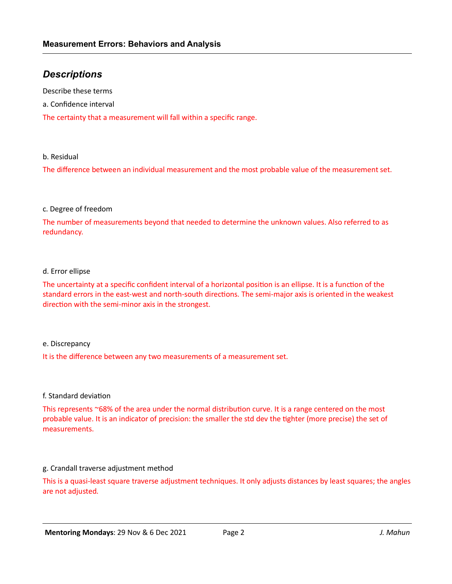# *Descriptions*

Describe these terms

a. Confidence interval

The certainty that a measurement will fall within a specific range.

b. Residual

The difference between an individual measurement and the most probable value of the measurement set.

#### c. Degree of freedom

The number of measurements beyond that needed to determine the unknown values. Also referred to as redundancy.

#### d. Error ellipse

The uncertainty at a specific confident interval of a horizontal position is an ellipse. It is a function of the standard errors in the east-west and north-south directions. The semi-major axis is oriented in the weakest direction with the semi-minor axis in the strongest.

#### e. Discrepancy

It is the difference between any two measurements of a measurement set.

#### f. Standard deviation

This represents  $~68\%$  of the area under the normal distribution curve. It is a range centered on the most probable value. It is an indicator of precision: the smaller the std dev the ghter (more precise) the set of measurements.

#### g. Crandall traverse adjustment method

This is a quasi-least square traverse adjustment techniques. It only adjusts distances by least squares; the angles are not adjusted.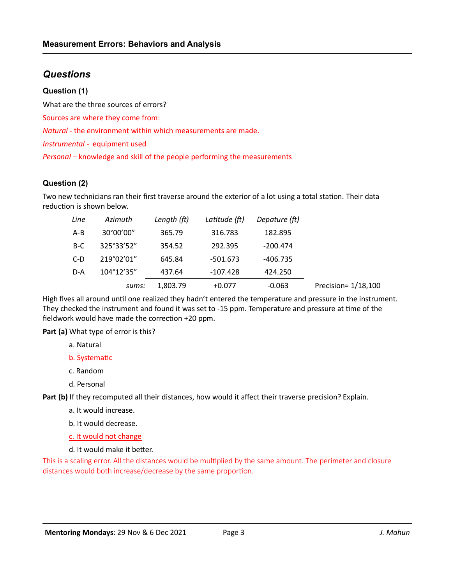# *Questions*

#### **Question (1)**

What are the three sources of errors?

Sources are where they come from:

*Natural* - the environment within which measurements are made.

*Instrumental* - equipment used

*Personal* – knowledge and skill of the people performing the measurements

## **Question (2)**

Two new technicians ran their first traverse around the exterior of a lot using a total station. Their data reduction is shown below.

| Line    | Azimuth    | Length (ft) | Latitude (ft) | Depature (ft) |                     |
|---------|------------|-------------|---------------|---------------|---------------------|
| $A - B$ | 30°00'00"  | 365.79      | 316.783       | 182.895       |                     |
| $B-C$   | 325°33'52" | 354.52      | 292.395       | $-200.474$    |                     |
| $C-D$   | 219°02'01" | 645.84      | -501.673      | -406.735      |                     |
| D-A     | 104°12'35" | 437.64      | $-107.428$    | 424.250       |                     |
|         | sums:      | 1,803.79    | $+0.077$      | $-0.063$      | Precision= 1/18,100 |

High fives all around until one realized they hadn't entered the temperature and pressure in the instrument. They checked the instrument and found it was set to -15 ppm. Temperature and pressure at time of the fieldwork would have made the correction  $+20$  ppm.

**Part (a)** What type of error is this?

- a. Natural
- b. Systematic
- c. Random
- d. Personal

Part (b) If they recomputed all their distances, how would it affect their traverse precision? Explain.

- a. It would increase.
- b. It would decrease.

c. It would not change

d. It would make it better.

This is a scaling error. All the distances would be multiplied by the same amount. The perimeter and closure distances would both increase/decrease by the same proportion.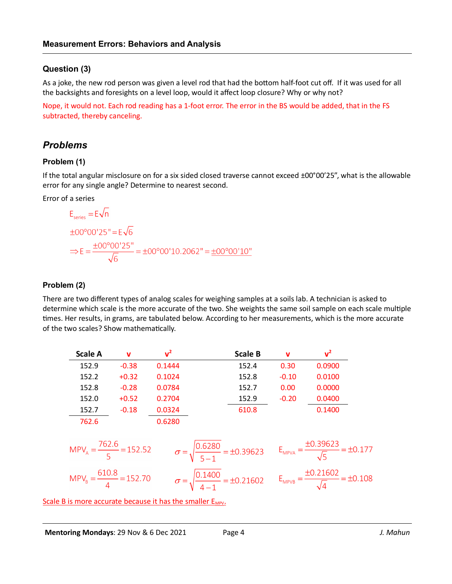## **Question (3)**

As a joke, the new rod person was given a level rod that had the bottom half-foot cut off. If it was used for all the backsights and foresights on a level loop, would it affect loop closure? Why or why not?

Nope, it would not. Each rod reading has a 1-foot error. The error in the BS would be added, that in the FS subtracted, thereby canceling.

# *Problems*

## **Problem (1)**

If the total angular misclosure on for a six sided closed traverse cannot exceed ±00°00'25", what is the allowable error for any single angle? Determine to nearest second.

Error of a series

$$
E_{series} = E\sqrt{n}
$$
  
\n
$$
\pm 00^{\circ}00'25" = E\sqrt{6}
$$
  
\n
$$
\Rightarrow E = \frac{\pm 00^{\circ}00'25"}{\sqrt{6}} = \pm 00^{\circ}00'10.2062" = \pm 00^{\circ}00'10"
$$

#### **Problem (2)**

There are two different types of analog scales for weighing samples at a soils lab. A technician is asked to determine which scale is the more accurate of the two. She weights the same soil sample on each scale multiple times. Her results, in grams, are tabulated below. According to her measurements, which is the more accurate of the two scales? Show mathematically.

| Scale A | v       | $v^2$  | <b>Scale B</b> | v       | $\mathbf{v}^2$ |
|---------|---------|--------|----------------|---------|----------------|
| 152.9   | $-0.38$ | 0.1444 | 152.4          | 0.30    | 0.0900         |
| 152.2   | $+0.32$ | 0.1024 | 152.8          | $-0.10$ | 0.0100         |
| 152.8   | $-0.28$ | 0.0784 | 152.7          | 0.00    | 0.0000         |
| 152.0   | $+0.52$ | 0.2704 | 152.9          | $-0.20$ | 0.0400         |
| 152.7   | $-0.18$ | 0.0324 | 610.8          |         | 0.1400         |
| 762.6   |         | 0.6280 |                |         |                |

$$
MPV_A = \frac{762.6}{5} = 152.52
$$

$$
\sigma = \sqrt{\frac{0.6280}{5 - 1}} = \pm 0.39623
$$

$$
E_{MPVA} = \frac{\pm 0.39623}{\sqrt{5}} = \pm 0.177
$$

$$
MPV_B = \frac{610.8}{4} = 152.70
$$

$$
\sigma = \sqrt{\frac{0.1400}{4 - 1}} = \pm 0.21602
$$

$$
E_{MPVB} = \frac{\pm 0.21602}{\sqrt{4}} = \pm 0.108
$$

Scale B is more accurate because it has the smaller E<sub>MPV</sub>.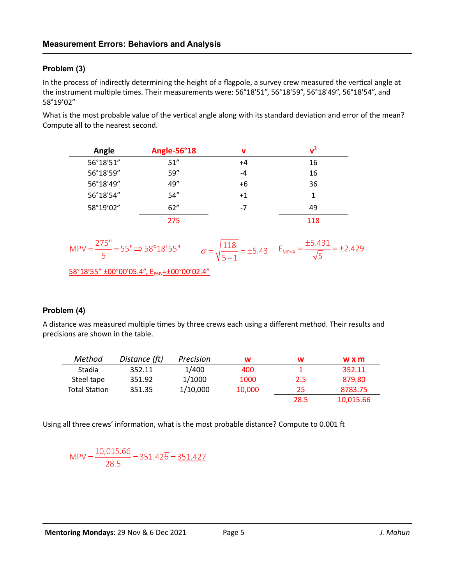## **Problem (3)**

In the process of indirectly determining the height of a flagpole, a survey crew measured the vertical angle at the instrument multiple times. Their measurements were: 56°18'51", 56°18'59", 56°18'49", 56°18'54", and 58°19'02"

What is the most probable value of the vertical angle along with its standard deviation and error of the mean? Compute all to the nearest second.

| Angle                                               | Angle-56°18 | $\mathbf v$                     | $v^2$                                   |
|-----------------------------------------------------|-------------|---------------------------------|-----------------------------------------|
| 56°18'51"                                           | 51''        | $+4$                            | 16                                      |
| 56°18'59"                                           | 59"         | -4                              | 16                                      |
| 56°18'49"                                           | 49"         | $+6$                            | 36                                      |
| 56°18'54"                                           | 54"         | $+1$                            | 1                                       |
| 58°19'02"                                           | 62"         | $-7$                            | 49                                      |
|                                                     | 275         |                                 | 118                                     |
| MPV = $\frac{275}{5}$ = 55" $\Rightarrow$ 58°18'55" |             | 118<br>$\frac{1248}{5}$ = ±5.43 | ±5.431<br>$E_{MPVA} =$<br>$= \pm 2.429$ |
| 58°18'55" ±00°00'05.4", EPMV=±00°00'02.4"           |             |                                 |                                         |

#### **Problem (4)**

A distance was measured multiple times by three crews each using a different method. Their results and precisions are shown in the table.

| Method               | Distance (ft) | Precision | w      | w    | wxm       |
|----------------------|---------------|-----------|--------|------|-----------|
| Stadia               | 352.11        | 1/400     | 400    |      | 352.11    |
| Steel tape           | 351.92        | 1/1000    | 1000   | 2.5  | 879.80    |
| <b>Total Station</b> | 351.35        | 1/10,000  | 10,000 | 25   | 8783.75   |
|                      |               |           |        | 28.5 | 10,015.66 |

Using all three crews' information, what is the most probable distance? Compute to 0.001 ft

$$
MPV = \frac{10,015.66}{28.5} = 351.42\overline{6} = \underline{351.427}
$$